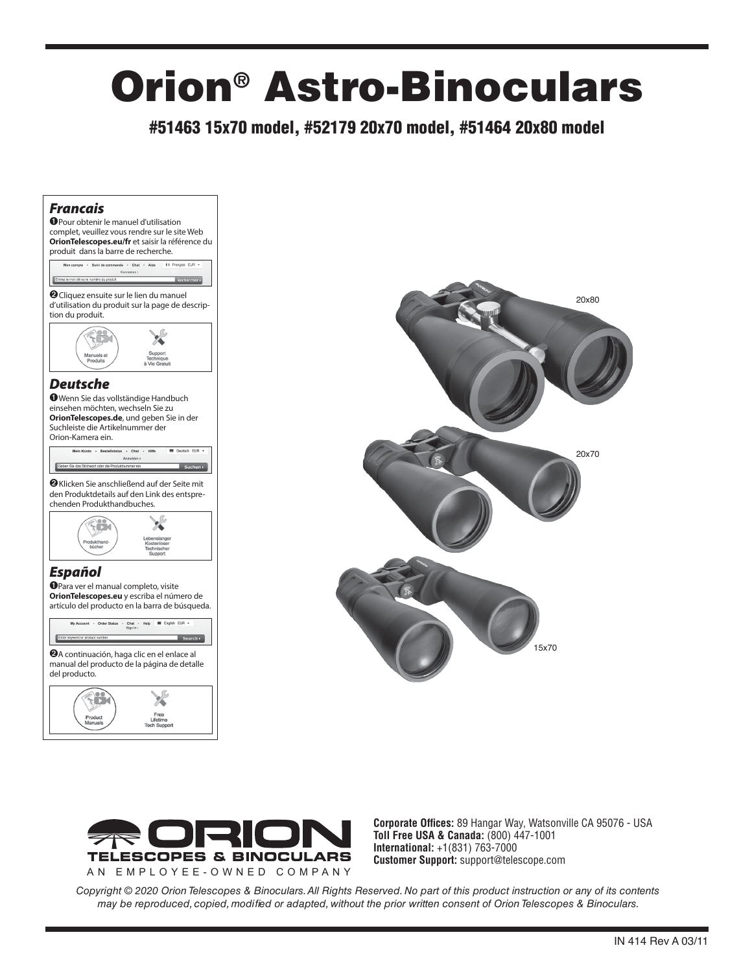# Orion® Astro-Binoculars

#51463 15x70 model, #52179 20x70 model, #51464 20x80 model

### *Francais*







**Corporate Offices:** 89 Hangar Way, Watsonville CA 95076 - USA **Toll Free USA & Canada:** (800) 447-1001 **International:** +1(831) 763-7000 **Customer Support:** support@telescope.com

*Copyright © 2020 Orion Telescopes & Binoculars. All Rights Reserved. No part of this product instruction or any of its contents may be reproduced, copied, modified or adapted, without the prior written consent of Orion Telescopes & Binoculars.*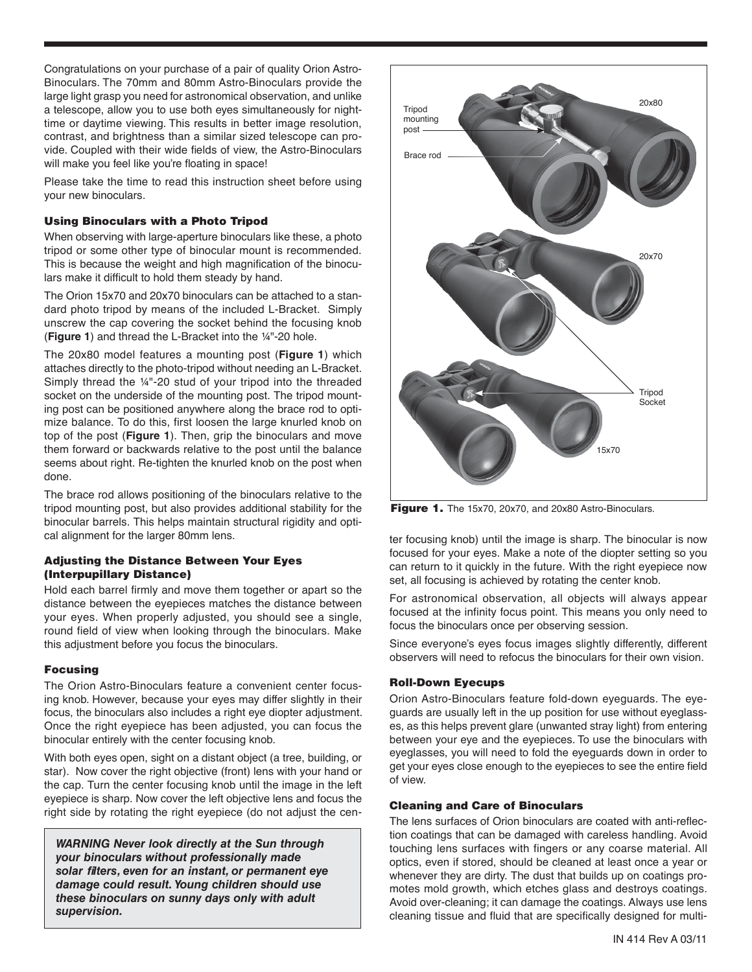Congratulations on your purchase of a pair of quality Orion Astro-Binoculars. The 70mm and 80mm Astro-Binoculars provide the large light grasp you need for astronomical observation, and unlike a telescope, allow you to use both eyes simultaneously for nighttime or daytime viewing. This results in better image resolution, contrast, and brightness than a similar sized telescope can provide. Coupled with their wide fields of view, the Astro-Binoculars will make you feel like you're floating in space!

Please take the time to read this instruction sheet before using your new binoculars.

#### Using Binoculars with a Photo Tripod

When observing with large-aperture binoculars like these, a photo tripod or some other type of binocular mount is recommended. This is because the weight and high magnification of the binoculars make it difficult to hold them steady by hand.

The Orion 15x70 and 20x70 binoculars can be attached to a standard photo tripod by means of the included L-Bracket. Simply unscrew the cap covering the socket behind the focusing knob (**Figure 1**) and thread the L-Bracket into the ¼"-20 hole.

The 20x80 model features a mounting post (**Figure 1**) which attaches directly to the photo-tripod without needing an L-Bracket. Simply thread the ¼"-20 stud of your tripod into the threaded socket on the underside of the mounting post. The tripod mounting post can be positioned anywhere along the brace rod to optimize balance. To do this, first loosen the large knurled knob on top of the post (**Figure 1**). Then, grip the binoculars and move them forward or backwards relative to the post until the balance seems about right. Re-tighten the knurled knob on the post when done.

The brace rod allows positioning of the binoculars relative to the tripod mounting post, but also provides additional stability for the binocular barrels. This helps maintain structural rigidity and optical alignment for the larger 80mm lens.

#### Adjusting the Distance Between Your Eyes (Interpupillary Distance)

Hold each barrel firmly and move them together or apart so the distance between the eyepieces matches the distance between your eyes. When properly adjusted, you should see a single, round field of view when looking through the binoculars. Make this adjustment before you focus the binoculars.

#### Focusing

The Orion Astro-Binoculars feature a convenient center focusing knob. However, because your eyes may differ slightly in their focus, the binoculars also includes a right eye diopter adjustment. Once the right eyepiece has been adjusted, you can focus the binocular entirely with the center focusing knob.

With both eyes open, sight on a distant object (a tree, building, or star). Now cover the right objective (front) lens with your hand or the cap. Turn the center focusing knob until the image in the left eyepiece is sharp. Now cover the left objective lens and focus the right side by rotating the right eyepiece (do not adjust the cen-

*WARNING Never look directly at the Sun through your binoculars without professionally made solar filters, even for an instant, or permanent eye damage could result. Young children should use these binoculars on sunny days only with adult supervision.*



Figure 1. The 15x70, 20x70, and 20x80 Astro-Binoculars.

ter focusing knob) until the image is sharp. The binocular is now focused for your eyes. Make a note of the diopter setting so you can return to it quickly in the future. With the right eyepiece now set, all focusing is achieved by rotating the center knob.

For astronomical observation, all objects will always appear focused at the infinity focus point. This means you only need to focus the binoculars once per observing session.

Since everyone's eyes focus images slightly differently, different observers will need to refocus the binoculars for their own vision.

#### Roll-Down Eyecups

Orion Astro-Binoculars feature fold-down eyeguards. The eyeguards are usually left in the up position for use without eyeglasses, as this helps prevent glare (unwanted stray light) from entering between your eye and the eyepieces. To use the binoculars with eyeglasses, you will need to fold the eyeguards down in order to get your eyes close enough to the eyepieces to see the entire field of view.

#### Cleaning and Care of Binoculars

The lens surfaces of Orion binoculars are coated with anti-reflection coatings that can be damaged with careless handling. Avoid touching lens surfaces with fingers or any coarse material. All optics, even if stored, should be cleaned at least once a year or whenever they are dirty. The dust that builds up on coatings promotes mold growth, which etches glass and destroys coatings. Avoid over-cleaning; it can damage the coatings. Always use lens cleaning tissue and fluid that are specifically designed for multi